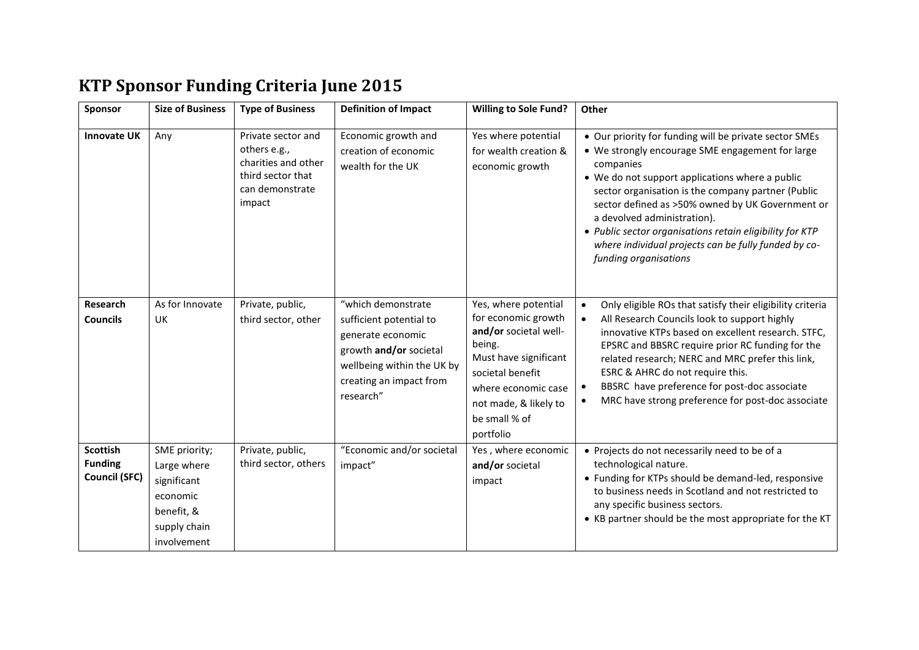# **KTP Sponsor Funding Criteria June 2015**

| Sponsor                                                   | <b>Size of Business</b>                                                                              | <b>Type of Business</b>                                                                                     | <b>Definition of Impact</b>                                                                                                                                        | <b>Willing to Sole Fund?</b>                                                                                                                                                                              | Other                                                                                                                                                                                                                                                                                                                                                                                                                                                            |
|-----------------------------------------------------------|------------------------------------------------------------------------------------------------------|-------------------------------------------------------------------------------------------------------------|--------------------------------------------------------------------------------------------------------------------------------------------------------------------|-----------------------------------------------------------------------------------------------------------------------------------------------------------------------------------------------------------|------------------------------------------------------------------------------------------------------------------------------------------------------------------------------------------------------------------------------------------------------------------------------------------------------------------------------------------------------------------------------------------------------------------------------------------------------------------|
| <b>Innovate UK</b>                                        | Any                                                                                                  | Private sector and<br>others e.g.,<br>charities and other<br>third sector that<br>can demonstrate<br>impact | Economic growth and<br>creation of economic<br>wealth for the UK                                                                                                   | Yes where potential<br>for wealth creation &<br>economic growth                                                                                                                                           | • Our priority for funding will be private sector SMEs<br>• We strongly encourage SME engagement for large<br>companies<br>• We do not support applications where a public<br>sector organisation is the company partner (Public<br>sector defined as >50% owned by UK Government or<br>a devolved administration).<br>• Public sector organisations retain eligibility for KTP<br>where individual projects can be fully funded by co-<br>funding organisations |
| Research<br><b>Councils</b>                               | As for Innovate<br><b>UK</b>                                                                         | Private, public,<br>third sector, other                                                                     | "which demonstrate<br>sufficient potential to<br>generate economic<br>growth and/or societal<br>wellbeing within the UK by<br>creating an impact from<br>research" | Yes, where potential<br>for economic growth<br>and/or societal well-<br>being.<br>Must have significant<br>societal benefit<br>where economic case<br>not made, & likely to<br>be small % of<br>portfolio | Only eligible ROs that satisfy their eligibility criteria<br>$\bullet$<br>All Research Councils look to support highly<br>innovative KTPs based on excellent research. STFC,<br>EPSRC and BBSRC require prior RC funding for the<br>related research; NERC and MRC prefer this link,<br>ESRC & AHRC do not require this.<br>BBSRC have preference for post-doc associate<br>$\bullet$<br>MRC have strong preference for post-doc associate                       |
| <b>Scottish</b><br><b>Funding</b><br><b>Council (SFC)</b> | SME priority;<br>Large where<br>significant<br>economic<br>benefit, &<br>supply chain<br>involvement | Private, public,<br>third sector, others                                                                    | "Economic and/or societal<br>impact"                                                                                                                               | Yes, where economic<br>and/or societal<br>impact                                                                                                                                                          | • Projects do not necessarily need to be of a<br>technological nature.<br>• Funding for KTPs should be demand-led, responsive<br>to business needs in Scotland and not restricted to<br>any specific business sectors.<br>• KB partner should be the most appropriate for the KT                                                                                                                                                                                 |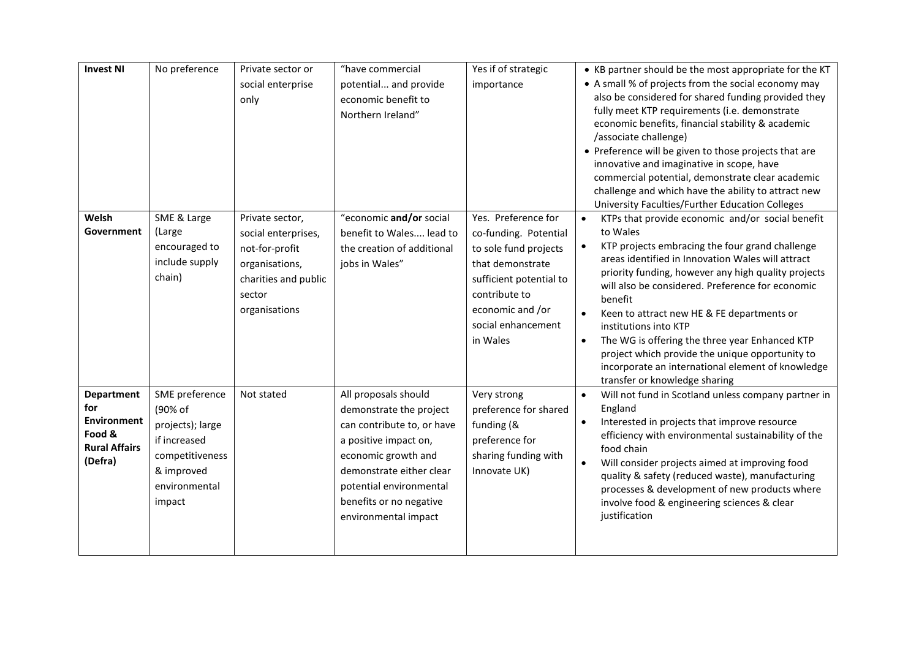| <b>Invest NI</b>                                                                            | No preference                                                                                                             | Private sector or<br>social enterprise<br>only                                                                                | "have commercial<br>potential and provide<br>economic benefit to<br>Northern Ireland"                                                                                                                                                   | Yes if of strategic<br>importance                                                                                                                                                           | • KB partner should be the most appropriate for the KT<br>• A small % of projects from the social economy may<br>also be considered for shared funding provided they<br>fully meet KTP requirements (i.e. demonstrate<br>economic benefits, financial stability & academic<br>/associate challenge)<br>• Preference will be given to those projects that are<br>innovative and imaginative in scope, have<br>commercial potential, demonstrate clear academic<br>challenge and which have the ability to attract new<br>University Faculties/Further Education Colleges                |
|---------------------------------------------------------------------------------------------|---------------------------------------------------------------------------------------------------------------------------|-------------------------------------------------------------------------------------------------------------------------------|-----------------------------------------------------------------------------------------------------------------------------------------------------------------------------------------------------------------------------------------|---------------------------------------------------------------------------------------------------------------------------------------------------------------------------------------------|----------------------------------------------------------------------------------------------------------------------------------------------------------------------------------------------------------------------------------------------------------------------------------------------------------------------------------------------------------------------------------------------------------------------------------------------------------------------------------------------------------------------------------------------------------------------------------------|
| Welsh<br>Government                                                                         | SME & Large<br>(Large<br>encouraged to<br>include supply<br>chain)                                                        | Private sector,<br>social enterprises,<br>not-for-profit<br>organisations,<br>charities and public<br>sector<br>organisations | "economic and/or social<br>benefit to Wales lead to<br>the creation of additional<br>jobs in Wales"                                                                                                                                     | Yes. Preference for<br>co-funding. Potential<br>to sole fund projects<br>that demonstrate<br>sufficient potential to<br>contribute to<br>economic and /or<br>social enhancement<br>in Wales | KTPs that provide economic and/or social benefit<br>to Wales<br>KTP projects embracing the four grand challenge<br>$\bullet$<br>areas identified in Innovation Wales will attract<br>priority funding, however any high quality projects<br>will also be considered. Preference for economic<br>benefit<br>Keen to attract new HE & FE departments or<br>institutions into KTP<br>The WG is offering the three year Enhanced KTP<br>$\bullet$<br>project which provide the unique opportunity to<br>incorporate an international element of knowledge<br>transfer or knowledge sharing |
| <b>Department</b><br>for<br><b>Environment</b><br>Food &<br><b>Rural Affairs</b><br>(Defra) | SME preference<br>(90% of<br>projects); large<br>if increased<br>competitiveness<br>& improved<br>environmental<br>impact | Not stated                                                                                                                    | All proposals should<br>demonstrate the project<br>can contribute to, or have<br>a positive impact on,<br>economic growth and<br>demonstrate either clear<br>potential environmental<br>benefits or no negative<br>environmental impact | Very strong<br>preference for shared<br>funding (&<br>preference for<br>sharing funding with<br>Innovate UK)                                                                                | Will not fund in Scotland unless company partner in<br>$\bullet$<br>England<br>Interested in projects that improve resource<br>$\bullet$<br>efficiency with environmental sustainability of the<br>food chain<br>Will consider projects aimed at improving food<br>$\bullet$<br>quality & safety (reduced waste), manufacturing<br>processes & development of new products where<br>involve food & engineering sciences & clear<br>justification                                                                                                                                       |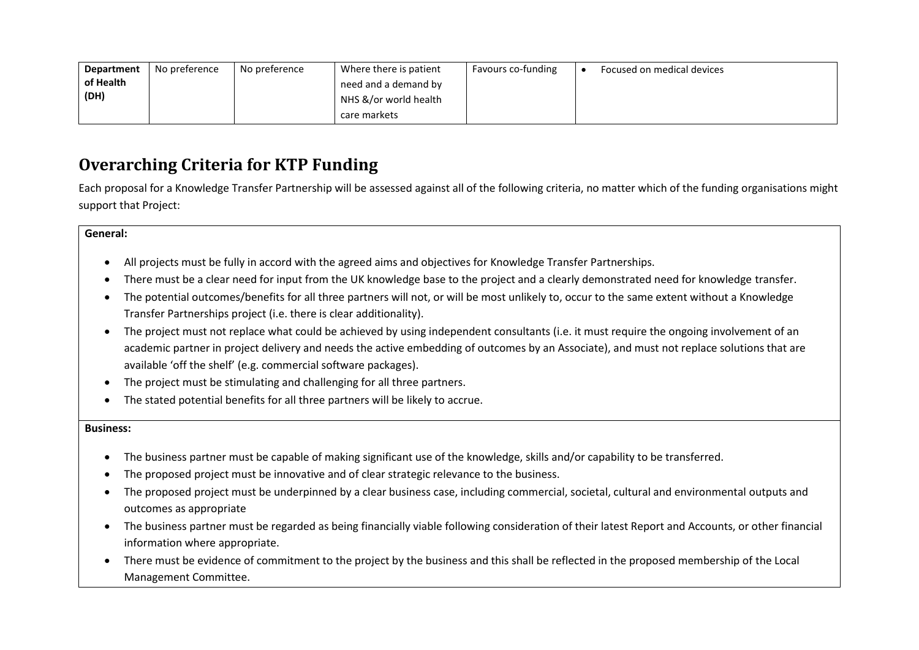| Department | No preference | No preference | Where there is patient | Favours co-funding | Focused on medical devices |
|------------|---------------|---------------|------------------------|--------------------|----------------------------|
| of Health  |               |               | need and a demand by   |                    |                            |
| (DH)       |               |               | NHS &/or world health  |                    |                            |
|            |               |               | care markets           |                    |                            |

## **Overarching Criteria for KTP Funding**

Each proposal for a Knowledge Transfer Partnership will be assessed against all of the following criteria, no matter which of the funding organisations might support that Project:

#### **General:**

- All projects must be fully in accord with the agreed aims and objectives for Knowledge Transfer Partnerships.
- There must be a clear need for input from the UK knowledge base to the project and a clearly demonstrated need for knowledge transfer.
- The potential outcomes/benefits for all three partners will not, or will be most unlikely to, occur to the same extent without a Knowledge Transfer Partnerships project (i.e. there is clear additionality).
- The project must not replace what could be achieved by using independent consultants (i.e. it must require the ongoing involvement of an academic partner in project delivery and needs the active embedding of outcomes by an Associate), and must not replace solutions that are available 'off the shelf' (e.g. commercial software packages).
- The project must be stimulating and challenging for all three partners.
- The stated potential benefits for all three partners will be likely to accrue.

#### **Business:**

- The business partner must be capable of making significant use of the knowledge, skills and/or capability to be transferred.
- The proposed project must be innovative and of clear strategic relevance to the business.
- The proposed project must be underpinned by a clear business case, including commercial, societal, cultural and environmental outputs and outcomes as appropriate
- The business partner must be regarded as being financially viable following consideration of their latest Report and Accounts, or other financial information where appropriate.
- There must be evidence of commitment to the project by the business and this shall be reflected in the proposed membership of the Local Management Committee.